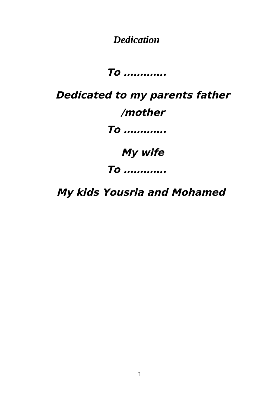*Dedication*

**To ………….**

**Dedicated to my parents father /mother To …………. My wife To ………….**

**My kids Yousria and Mohamed**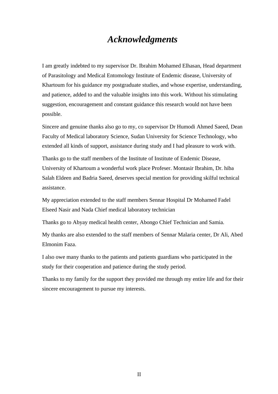#### *Acknowledgments*

I am greatly indebted to my supervisor Dr. Ibrahim Mohamed Elhasan, Head department of Parasitology and Medical Entomology Institute of Endemic disease, University of Khartoum for his guidance my postgraduate studies, and whose expertise, understanding, and patience, added to and the valuable insights into this work. Without his stimulating suggestion, encouragement and constant guidance this research would not have been possible.

Sincere and genuine thanks also go to my, co supervisor Dr Humodi Ahmed Saeed, Dean Faculty of Medical laboratory Science, Sudan University for Science Technology, who extended all kinds of support, assistance during study and I had pleasure to work with.

Thanks go to the staff members of the Institute of Institute of Endemic Disease, University of Khartoum a wonderful work place Profeser. Montasir Ibrahim, Dr. hiba Salah Eldeen and Badria Saeed, deserves special mention for providing skilful technical assistance.

My appreciation extended to the staff members Sennar Hospital Dr Mohamed Fadel Elseed Nasir and Nada Chief medical laboratory technician

Thanks go to Abyay medical health center, Abongo Chief Technician and Samia.

My thanks are also extended to the staff members of Sennar Malaria center, Dr Ali, Abed Elmonim Faza.

I also owe many thanks to the patients and patients guardians who participated in the study for their cooperation and patience during the study period.

Thanks to my family for the support they provided me through my entire life and for their sincere encouragement to pursue my interests.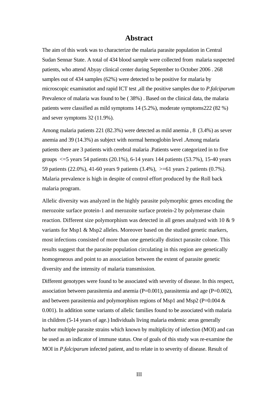#### **Abstract**

The aim of this work was to characterize the malaria parasite population in Central Sudan Sennar State. A total of 434 blood sample were collected from malaria suspected patients, who attend Abyay clinical center during September to October 2006 . 268 samples out of 434 samples (62%) were detected to be positive for malaria by microscopic examinatiot and rapid ICT test ,all the positive samples due to *P.falciparum* Prevalence of malaria was found to be ( 38%) . Based on the clinical data, the malaria patients were classified as mild symptoms 14 (5.2%), moderate symptoms222 (82 %) and sever symptoms 32 (11.9%).

Among malaria patients 221 (82.3%) were detected as mild anemia , 8 (3.4%) as sever anemia and 39 (14.3%) as subject with normal hemoglobin level .Among malaria patients there are 3 patients with cerebral malaria .Patients were categorized in to five groups <=5 years 54 patients (20.1%), 6-14 years 144 patients (53.7%), 15-40 years 59 patients (22.0%), 41-60 years 9 patients (3.4%), >=61 years 2 patients (0.7%). Malaria prevalence is high in despite of control effort produced by the Roll back malaria program.

Allelic diversity was analyzed in the highly parasite polymorphic genes encoding the merozoite surface protein-1 and merozoite surface protein-2 by polymerase chain reaction. Different size polymorphism was detected in all genes analyzed with 10 & 9 variants for Msp1 & Msp2 alleles. Moreover based on the studied genetic markers, most infections consisted of more than one genetically distinct parasite colone. This results suggest that the parasite population circulating in this region are genetically homogeneous and point to an association between the extent of parasite genetic diversity and the intensity of malaria transmission.

Different genotypes were found to be associated with severity of disease. In this respect, association between parasitemia and anemia  $(P=0.001)$ , parasitemia and age  $(P=0.002)$ , and between parasitemia and polymorphism regions of Msp1 and Msp2 ( $P=0.004 \&$ 0.001). In addition some variants of allelic families found to be associated with malaria in children (5-14 years of age.) Individuals living malaria endemic areas generally harbor multiple parasite strains which known by multiplicity of infection (MOI) and can be used as an indicator of immune status. One of goals of this study was re-examine the MOI in *P.falciparum* infected patient, and to relate in to severity of disease. Result of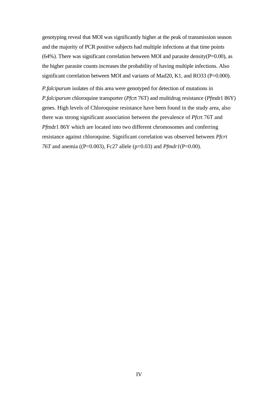genotyping reveal that MOI was significantly higher at the peak of transmission season and the majority of PCR positive subjects had multiple infections at that time points (64%). There was significant correlation between MOI and parasite density( $P=0.00$ ), as the higher parasite counts increases the probability of having multiple infections. Also significant correlation between MOI and variants of Mad20, K1, and RO33 (P=0.000).

*P.falciparum* isolates of this area were genotyped for detection of mutations in *P.falciparum chloroquine transporter (<i>Pfcrt 76T*) and multidrug resistance (*Pfmdr1 86Y*) genes. High levels of Chloroquine resistance have been found in the study area, also there was strong significant association between the prevalence of *Pf*crt 76T and *Pf*mdr1 86Y which are located into two different chromosomes and conferring resistance against chloroquine. Significant correlation was observed between *Pfcrt 76T* and anemia ((P=0.003), Fc27 allele (p=0.03) and *Pfmdr1*(P=0.00).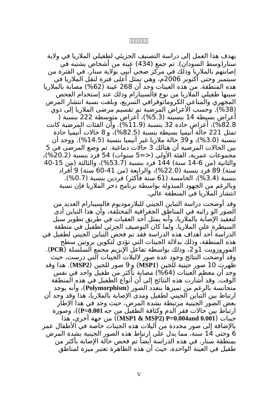#### **ةةةةةةة**

يهدف هذا العمل إلى دراسة التصنيف الجزيئي لطفيلي الملريا في ولية سنار(وسط السودان). تم جمع (434) عينة من أشخاص يشتبه في إصابتهم بالملريا وذلك في مركز صحي أبيي بولية سنار، في الفترة من سبتمبر وحتى أكتوبر 2006م، وهي تمثل أعلى فترة لنقل الملريا في هذه المنطقة. من هذه العينات وجد أن 268 عينة (%62) مصابة بالملريا سببها طفيلي الملريا من نوع فالسيبارام وذلك عند إستخدام الفحص المجهري والمناعي الكروماتوقرافي السريع، وبلغت نسبة انتشار المرض (38%). وحسب الأعراض المرضية تم تقسيم مرضى الملاريا إلى ذوي أعراض بسيطة 14 بنسبته (%5.3)، أعراض متوسطة 222 بنسبة ( %82.8)، أعراض حادة 32 بنسبة (%11.9). وأن الفئات المرضية كانت تمثل 221 حالة أنيميا بسيطة بنسبة (%82.5)، و 8 حالت أنيميا حادة بنسبة (%3.0)، و 39 حالة ملريا غير أنيميا بنسبة (%14.5). ووجد أن بين الحالت المرضية أن هنالك 3 حالت دماغية. تم وضع المرضى في 5 مجموعات عمرية، الفئة الولى (<=5 سنوات) 54 فرد بنسبة (%20.2)، والثانية (من 14-6 سنة) 144 فرد بنسبة (%53.7)، والثالثة (من 40-15 سنة) 89 فرد بنسبة (%22.0)، والرابعة (من 60-41 سنة) 9 أفراد بنسبة (%3.4)، الخامسة (61 سنة فأكثر) فردين بنسبة (%0.7). وبالرغم من الجهود المبذولة بواسطة برنامج دحر الملريا فإن نسبة انتشار الملريا في المنطقة عالي.

وقد أوضحت دراسة التباين الجيني للبلزموديوم فالسيبارام العديد من الصور الو راثية في المناطق الجغرافية المختلفة، وأن هذا التباين أدى لتعقيد الإصابة بالملاريا، وأنه يمثل أحد العقبات في طريق تطوير سبل السيطرة على الملريا. ولما كان التوصيف الجزئي لطفيل في منطقة الدراسة أحد أهداف هذه الدراسة فقد تم فحص التباين الجيني لطفيل في هذه المنطقة، وذلك بدللة الجينات التي تؤدي لتكوين بروتين سطح الموروزويت 1و ،2 وذلك بواسطة تفاعل النزيم مجمع السلسلة (**PCR**(. وقد أوضحت النتائج وجود عدة صور لليلت الجينات التي درست، حيث ظهرت 10 صور جينية للجين (**1MSP** (و 9 صور للجين (**2MSP**(. هذا وقد وجد أن معظم العينات (%64) مصابة بأكثر من طفيل واحد في نفس الوقت. وقد أشارت هذه النتائج إلى أن أنواع الطفيل في هذه المنطقة متجانسة بالرغم من تميزها بتعدد الصور (**Polymorphism**(، وأنه يوجد ارتباط بين التباين الجيني لطفيل ومدى الإصابة بالملاريا، هذا وقد وجد أن بعض الصور الجينية مرتبطة بشدة المرض، حيث وجد في هذا الطار ارتباط بين حالت فقر الدم وكثافة الطفيل من جه **0.001=P**((، وصورة جينات (**0.001 and0.004=P) 2MSP & 1MSP** ((من جهة أخرى، هذا بالضافة إلى صور محددة من أليلت هذه الجينات خاصة في الطفال عمر 6 وحتى 14 سنة، مما يدل على ارتباط هذه الصور الجينية بشدة المرض بمنطقة سنار. في هذه الدراسة أيضًا تم فحص حالة الصابة بأكثر من طفيل في العينة الواحدة، حيث أن هذه الظاهرة تعتبر ميزة لمناطق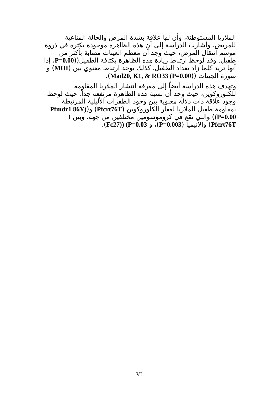الملريا المستوطنة، وأن لها علقة بشدة المرض والحالة المناعية للمريض. وأشارت الدراسة إلى أن هذه الظاهرة موجودة بكثرة في ذروة موسم انتقال المرض، حيث وجد أن معظم العينات مصابة بأكثر من طفيل. وقد لوحظ ارتباط زيادة هذه الظاهرة بكثافة الطفيل((**0.00=P**، إذا أنها تزيد كلما زاد تعداد الطفيل. كذلك يوجد ارتباط معنوي بين (**MOI** (و .(**Mad20, K1, & RO33 (P=0.00**)) الجينات صورة

وتهدف هذه الدراسة أيضًا إلى معرفة انتشار الملريا المقاومة للكلوروكوين، حيث وجد أن نسبة هذه الظاهرة مرتفعة جدًا. حيث لوحظ وجود علقة ذات دللة معنوية بين وجود الطفرات الليلية المرتبطة بمقاومة طفيل الملريا لعقار الكلوروكوين (**T76Pfcrt** (و(**(Y86 1Pfmdr 0.00=P** (**(**والتي تقع في كروموسومين مختلفين من جهة، وبين ( .(**Fc27)) (P=0.03** و ،)**P=0.003**) والنيميا) **Pfcrt76T**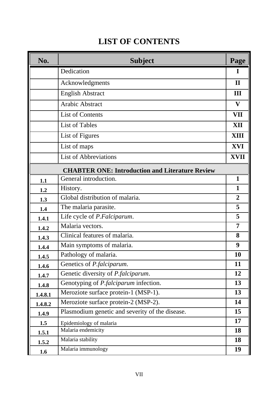## **LIST OF CONTENTS**

| No.     | <b>Subject</b>                                         | Page           |
|---------|--------------------------------------------------------|----------------|
|         | Dedication                                             | I              |
|         | Acknowledgments                                        | $\mathbf{I}$   |
|         | <b>English Abstract</b>                                | III            |
|         | <b>Arabic Abstract</b>                                 | V              |
|         | <b>List of Contents</b>                                | <b>VII</b>     |
|         | <b>List of Tables</b>                                  | <b>XII</b>     |
|         | List of Figures                                        | <b>XIII</b>    |
|         | List of maps                                           | <b>XVI</b>     |
|         | <b>List of Abbreviations</b>                           | <b>XVII</b>    |
|         | <b>CHABTER ONE: Introduction and Literature Review</b> |                |
| 1.1     | General introduction.                                  | 1              |
| 1.2     | History.                                               | 1              |
| 1.3     | Global distribution of malaria.                        | $\overline{2}$ |
| 1.4     | The malaria parasite.                                  | 5              |
| 1.4.1   | Life cycle of P.Falciparum.                            | 5              |
| 1.4.2   | Malaria vectors.                                       | 7              |
| 1.4.3   | Clinical features of malaria.                          | 8              |
| 1.4.4   | Main symptoms of malaria.                              | 9              |
| 1.4.5   | Pathology of malaria.                                  | 10             |
| 1.4.6   | Genetics of P.falciparum.                              | 11             |
| 1.4.7   | Genetic diversity of P.falciparum.                     | 12             |
| 1.4.8   | Genotyping of P.falciparum infection.                  | 13             |
| 1.4.8.1 | Meroziote surface protein-1 (MSP-1).                   | 13             |
| 1.4.8.2 | Meroziote surface protein-2 (MSP-2).                   | 14             |
| 1.4.9   | Plasmodium genetic and severity of the disease.        | 15             |
| 1.5     | Epidemiology of malaria                                | 17             |
| 1.5.1   | Malaria endemicity                                     | 18             |
| 1.5.2   | Malaria stability                                      | 18             |
| 1.6     | Malaria immunology                                     | 19             |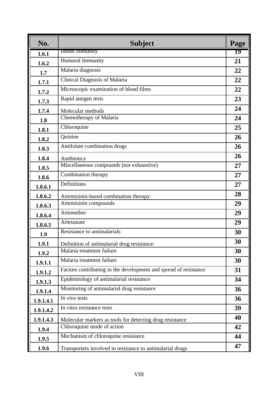| No.       | <b>Subject</b>                                                   | Page |
|-----------|------------------------------------------------------------------|------|
| 1.6.1     | Innate immunity                                                  | 19   |
| 1.6.2     | Humoral Immunity                                                 | 21   |
| 1.7       | Malaria diagnosis                                                | 22   |
| 1.7.1     | <b>Clinical Diagnosis of Malaria</b>                             | 22   |
| 1.7.2     | Microscopic examination of blood films                           | 22   |
| 1.7.3     | Rapid antigen tests                                              | 23   |
| 1.7.4     | Molecular methods                                                | 24   |
| 1.8       | Chemotherapy of Malaria                                          | 24   |
| 1.8.1     | Chloroquine                                                      | 25   |
| 1.8.2     | Quinine                                                          | 26   |
| 1.8.3     | Antifolate combination drugs                                     | 26   |
| 1.8.4     | <b>Antibiotics</b>                                               | 26   |
| 1.8.5     | Miscellaneous compounds (not exhaustive)                         | 27   |
| 1.8.6     | Combination therapy                                              | 27   |
| 1.8.6.1   | Definitions                                                      | 27   |
| 1.8.6.2   | Artemisinin-based combination therapy:                           | 28   |
| 1.8.6.3   | Artemisinin compounds                                            | 29   |
| 1.8.6.4   | Artemether                                                       | 29   |
| 1.8.6.5   | Artesunate                                                       | 29   |
| 1.9       | Resistance to antimalarials                                      | 30   |
| 1.9.1     | Definition of antimalarial drug resistance:                      | 30   |
| 1.9.2     | Malaria treatment failure                                        | 30   |
| 1.9.1.1   | Malaria treatment failure                                        | 30   |
| 1.9.1.2   | Factors contributing to the development and spread of resistance | 31   |
| 1.9.1.3   | Epidemiology of antimalarial resistance                          | 34   |
| 1.9.1.4   | Monitoring of antimalarial drug resistance                       | 36   |
| 1.9.1.4.1 | In vivo tests                                                    | 36   |
| 1.9.1.4.2 | In vitro resistance tests                                        | 39   |
| 1.9.1.4.3 | Molecular markers as tools for detecting drug resistance         | 40   |
| 1.9.4     | Chloroquine mode of action                                       | 42   |
| 1.9.5     | Mechanism of chloroquine resistance                              | 44   |
| 1.9.6     | Transporters involved in resistance to antimalarial drugs        | 47   |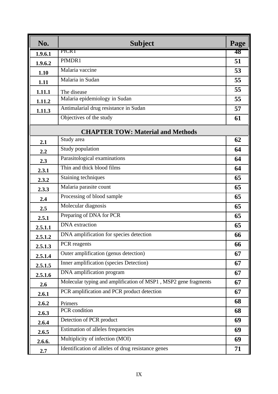| No.     | <b>Subject</b>                                                  | Page |
|---------|-----------------------------------------------------------------|------|
| 1.9.6.1 | PICRT                                                           | 48   |
| 1.9.6.2 | PfMDR1                                                          | 51   |
| 1.10    | Malaria vaccine                                                 | 53   |
| 1.11    | Malaria in Sudan                                                | 55   |
| 1.11.1  | The disease                                                     | 55   |
| 1.11.2  | Malaria epidemiology in Sudan                                   | 55   |
| 1.11.3  | Antimalarial drug resistance in Sudan                           | 57   |
|         | Objectives of the study                                         | 61   |
|         | <b>CHAPTER TOW: Material and Methods</b>                        |      |
| 2.1     | Study area                                                      | 62   |
| 2.2     | Study population                                                | 64   |
| 2.3     | Parasitological examinations                                    | 64   |
| 2.3.1   | Thin and thick blood films                                      | 64   |
| 2.3.2   | Staining techniques                                             | 65   |
| 2.3.3   | Malaria parasite count                                          | 65   |
| 2.4     | Processing of blood sample                                      | 65   |
| 2.5     | Molecular diagnosis                                             | 65   |
| 2.5.1   | Preparing of DNA for PCR                                        | 65   |
| 2.5.1.1 | <b>DNA</b> extraction                                           | 65   |
| 2.5.1.2 | DNA amplification for species detection                         | 66   |
| 2.5.1.3 | PCR reagents                                                    | 66   |
| 2.5.1.4 | Outer amplification (genus detection)                           | 67   |
| 2.5.1.5 | Inner amplification (species Detection)                         | 67   |
| 2.5.1.6 | DNA amplification program                                       | 67   |
| 2.6     | Molecular typing and amplification of MSP1, MSP2 gene fragments | 67   |
| 2.6.1   | PCR amplification and PCR product detection                     | 67   |
| 2.6.2   | Primers                                                         | 68   |
| 2.6.3   | PCR condition                                                   | 68   |
| 2.6.4   | Detection of PCR product                                        | 69   |
| 2.6.5   | Estimation of alleles frequencies                               | 69   |
| 2.6.6.  | Multiplicity of infection (MOI)                                 | 69   |
| 2.7     | Identification of alleles of drug resistance genes              | 71   |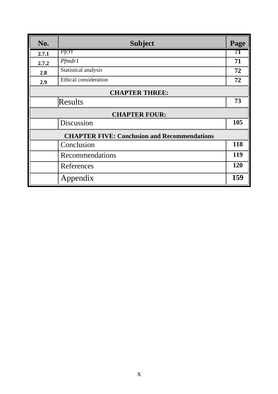| No.                                                 | <b>Subject</b>        | Page |
|-----------------------------------------------------|-----------------------|------|
| 2.7.1                                               | Pfcrt                 | 71   |
| 2.7.2                                               | Pfmdr1                | 71   |
| 2.8                                                 | Statistical analysis  | 72   |
| 2.9                                                 | Ethical consideration | 72   |
| <b>CHAPTER THREE:</b>                               |                       |      |
|                                                     | Results               | 73   |
|                                                     | <b>CHAPTER FOUR:</b>  |      |
|                                                     | Discussion            | 105  |
| <b>CHAPTER FIVE: Conclusion and Recommendations</b> |                       |      |
|                                                     | Conclusion            | 118  |
|                                                     | Recommendations       | 119  |
|                                                     | References            | 120  |
|                                                     | Appendix              | 159  |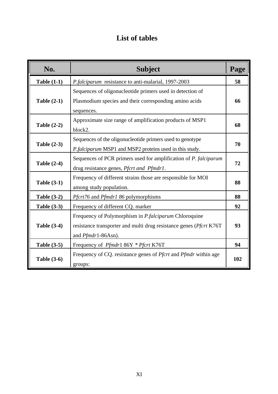## **List of tables**

| No.                | <b>Subject</b>                                                                                                                                                     | Page |
|--------------------|--------------------------------------------------------------------------------------------------------------------------------------------------------------------|------|
| <b>Table (1-1)</b> | P.falciparum resistance to anti-malarial, 1997-2003                                                                                                                | 58   |
| Table $(2-1)$      | Sequences of oligonucleotide primers used in detection of<br>Plasmodium species and their corresponding amino acids<br>sequences.                                  | 66   |
| <b>Table (2-2)</b> | Approximate size range of amplification products of MSP1<br>block2.                                                                                                | 68   |
| <b>Table (2-3)</b> | Sequences of the oligonucleotide primers used to genotype<br>P.falciparum MSP1 and MSP2 proteins used in this study.                                               | 70   |
| <b>Table (2-4)</b> | Sequences of PCR primers used for amplification of P. falciparum<br>drug resistance genes, Pfcrt and Pfmdr1.                                                       | 72   |
| <b>Table (3-1)</b> | Frequency of different strains those are responsible for MOI<br>among study population.                                                                            | 88   |
| <b>Table (3-2)</b> | Pfcrt76 and Pfmdr1 86 polymorphisms                                                                                                                                | 88   |
| <b>Table (3-3)</b> | Frequency of different CQ. marker                                                                                                                                  | 92   |
| <b>Table (3-4)</b> | Frequency of Polymorphism in <i>P.falciparum</i> Chloroquine<br>resistance transporter and multi drug resistance genes ( <i>Pfcrt K76T</i> )<br>and Pfmdr1-86Asn). | 93   |
| <b>Table (3-5)</b> | Frequency of <i>Pfmdr</i> 186Y * <i>Pfcrt</i> K76T                                                                                                                 | 94   |
| <b>Table (3-6)</b> | Frequency of CQ. resistance genes of <i>Pfcrt</i> and <i>Pfmdr</i> within age<br>groups:                                                                           | 102  |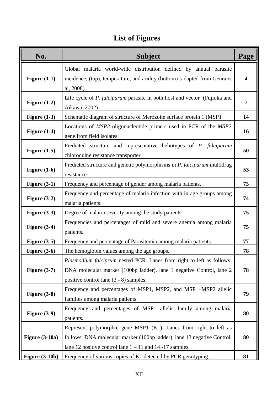# **List of Figures**

| No.                   | <b>Subject</b>                                                                                                                                                                                                | Page |
|-----------------------|---------------------------------------------------------------------------------------------------------------------------------------------------------------------------------------------------------------|------|
| Figure $(1-1)$        | Global malaria world-wide distribution defined by annual parasite<br>incidence, (top), temperature, and aridity (bottom) (adapted from Geura et<br>al, 2008)                                                  | 4    |
| Figure $(1-2)$        | Life cycle of P. falciparum parasite in both host and vector (Fujioka and<br>Aikawa, 2002)                                                                                                                    | 7    |
| Figure $(1-3)$        | Schematic diagram of structure of Merozoite surface protein 1 (MSP1                                                                                                                                           | 14   |
| Figure $(1-4)$        | Locations of MSP2 oligonucleotide primers used in PCR of the MSP2<br>gene from field isolates                                                                                                                 | 16   |
| Figure $(1-5)$        | Predicted structure and representative heliotypes of P. falciparum<br>chloroquine resistance transporter                                                                                                      | 50   |
| Figure $(1-6)$        | Predicted structure and genetic polymorphisms in P. falciparum multidrug<br>resistance-1                                                                                                                      | 53   |
| Figure $(3-1)$        | Frequency and percentage of gender among malaria patients.                                                                                                                                                    | 73   |
| Figure $(3-2)$        | Frequency and percentage of malaria infection with in age groups among<br>malaria patients.                                                                                                                   | 74   |
| Figure $(3-3)$        | Degree of malaria severity among the study patients.                                                                                                                                                          | 75   |
| Figure $(3-4)$        | Frequencies and percentages of mild and severe anemia among malaria<br>patients.                                                                                                                              | 75   |
| Figure $(3-5)$        | Frequency and percentage of Parasitemia among malaria patients.                                                                                                                                               | 77   |
| Figure $(3-6)$        | The hemoglobin values among the age groups.                                                                                                                                                                   | 78   |
| Figure $(3-7)$        | Plasmodium falciprum nested PCR. Lanes from right to left as follows:<br>DNA molecular marker (100bp ladder), lane 1 negative Control, lane 2<br>positive control lane $(3 - 8)$ samples.                     | 78   |
| Figure $(3-8)$        | Frequency and percentages of MSP1, MSP2, and MSP1+MSP2 allelic<br>families among malaria patients.                                                                                                            | 79   |
| Figure $(3-9)$        | Frequency and percentages of MSP1 allelic family among malaria<br>patients.                                                                                                                                   | 80   |
| <b>Figure (3-10a)</b> | Represent polymorphic gene MSP1 (K1). Lanes from right to left as<br>follows: DNA molecular marker (100bp ladder), lane 13 negative Control,<br>lane 12 positive control lane $1 - 11$ and $14 - 17$ samples. | 80   |
| <b>Figure (3-10b)</b> | Frequency of various copies of K1 detected by PCR genotyping.                                                                                                                                                 | 81   |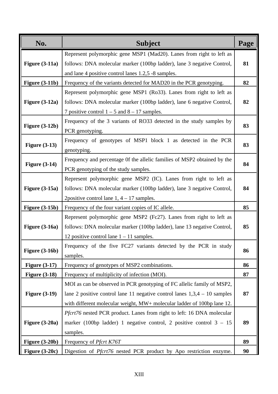| No.                   | <b>Subject</b>                                                              | Page |
|-----------------------|-----------------------------------------------------------------------------|------|
|                       | Represent polymorphic gene MSP1 (Mad20). Lanes from right to left as        |      |
| Figure $(3-11a)$      | follows: DNA molecular marker (100bp ladder), lane 3 negative Control,      | 81   |
|                       | and lane 4 positive control lanes 1.2,5 -8 samples.                         |      |
| Figure $(3-11b)$      | Frequency of the variants detected for MAD20 in the PCR genotyping.         | 82   |
|                       | Represent polymorphic gene MSP1 (Ro33). Lanes from right to left as         |      |
| Figure $(3-12a)$      | follows: DNA molecular marker (100bp ladder), lane 6 negative Control,      | 82   |
|                       | 7 positive control $1 - 5$ and $8 - 17$ samples.                            |      |
|                       | Frequency of the 3 variants of RO33 detected in the study samples by        |      |
| <b>Figure (3-12b)</b> | PCR genotyping.                                                             | 83   |
|                       | Frequency of genotypes of MSP1 block 1 as detected in the PCR               |      |
| <b>Figure (3-13)</b>  | genotyping.                                                                 | 83   |
|                       | Frequency and percentage Of the allelic families of MSP2 obtained by the    |      |
| <b>Figure (3-14)</b>  | PCR genotyping of the study samples.                                        | 84   |
|                       | Represent polymorphic gene MSP2 (IC). Lanes from right to left as           |      |
| <b>Figure (3-15a)</b> | follows: DNA molecular marker (100bp ladder), lane 3 negative Control,      | 84   |
|                       | 2 positive control lane $1, 4 - 17$ samples.                                |      |
| <b>Figure (3-15b)</b> | Frequency of the four variant copies of IC allele.                          | 85   |
|                       | Represent polymorphic gene MSP2 (Fc27). Lanes from right to left as         |      |
| <b>Figure (3-16a)</b> | follows: DNA molecular marker (100bp ladder), lane 13 negative Control,     | 85   |
|                       | 12 positive control lane $1 - 11$ samples.                                  |      |
|                       | Frequency of the five FC27 variants detected by the PCR in study            |      |
| <b>Figure (3-16b)</b> | samples.                                                                    | 86   |
| Figure $(3-17)$       | Frequency of genotypes of MSP2 combinations.                                | 86   |
| <b>Figure (3-18)</b>  | Frequency of multiplicity of infection (MOI).                               | 87   |
|                       | MOI as can be observed in PCR genotyping of FC allelic family of MSP2,      |      |
| <b>Figure (3-19)</b>  | lane 2 positive control lane 11 negative control lanes $1,3,4 - 10$ samples | 87   |
|                       | with different molecular weight, MW+ molecular ladder of 100bp lane 12.     |      |
|                       | Pfcrt76 nested PCR product. Lanes from right to left: 16 DNA molecular      |      |
| Figure $(3-20a)$      | marker (100bp ladder) 1 negative control, 2 positive control $3 - 15$       | 89   |
|                       | samples.                                                                    |      |
| <b>Figure (3-20b)</b> | Frequency of <i>Pfcrt K76T</i>                                              | 89   |
| Figure $(3-20c)$      | Digestion of Pfcrt76 nested PCR product by Apo restriction enzyme.          | 90   |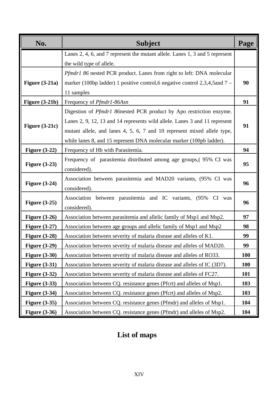| No.                  | <b>Subject</b>                                                               | Page       |
|----------------------|------------------------------------------------------------------------------|------------|
|                      | Lanes 2, 4, 6, and 7 represent the mutant allele. Lanes 1, 3 and 5 represent |            |
|                      | the wild type of allele.                                                     |            |
|                      | Pfmdr1 86 nested PCR product. Lanes from right to left: DNA molecular        |            |
| Figure $(3-21a)$     | marker (100bp ladder) 1 positive control, 6 negative control 2,3,4,5 and 7 - | 90         |
|                      | 11 samples                                                                   |            |
| Figure $(3-21b)$     | Frequency of Pfmdr1-86Asn                                                    | 91         |
|                      | Digestion of <i>Pfmdr1</i> 86nested PCR product by Apo restriction enzyme.   |            |
|                      | Lanes 2, 9, 12, 13 and 14 represents wild allele. Lanes 3 and 11 represent   |            |
| Figure $(3-21c)$     | mutant allele, and lanes 4, 5, 6, 7 and 10 represent mixed allele type,      | 91         |
|                      | while lanes 8, and 15 represent DNA molecular marker (100pb ladder).         |            |
| Figure $(3-22)$      | Frequency of Hb with Parasitemia.                                            | 94         |
|                      | Frequency of parasitemia distributed among age groups, (95% CI was           |            |
| <b>Figure (3-23)</b> | considered).                                                                 | 95         |
|                      | Association between parasitemia and MAD20 variants, (95% CI was              |            |
| <b>Figure (3-24)</b> | considered).                                                                 | 96         |
|                      | Association between parasitemia and IC variants, (95% CI was                 |            |
| Figure $(3-25)$      | considered).                                                                 | 96         |
| Figure $(3-26)$      | Association between parasitemia and allelic family of Msp1 and Msp2.         | 97         |
| Figure $(3-27)$      | Association between age groups and allelic family of Msp1 and Msp2           | 98         |
| Figure $(3-28)$      | Association between severity of malaria disease and alleles of K1.           | 99         |
| <b>Figure (3-29)</b> | Association between severity of malaria disease and alleles of MAD20.        | 99         |
| <b>Figure (3-30)</b> | Association between severity of malaria disease and alleles of RO33.         | 100        |
| <b>Figure (3-31)</b> | Association between severity of malaria disease and alleles of IC (3D7).     | <b>100</b> |
| <b>Figure (3-32)</b> | Association between severity of malaria disease and alleles of FC27.         | 101        |
| <b>Figure (3-33)</b> | Association between CQ. resistance genes (Pfcrt) and alleles of Msp1.        | 103        |
| <b>Figure (3-34)</b> | Association between CQ. resistance genes (Pfcrt) and alleles of Msp2.        | 103        |
| <b>Figure (3-35)</b> | Association between CQ. resistance genes (Pfmdr) and alleles of Msp1.        | 104        |
| <b>Figure (3-36)</b> | Association between CQ. resistance genes (Pfmdr) and alleles of Msp2.        | 104        |

## **List of maps**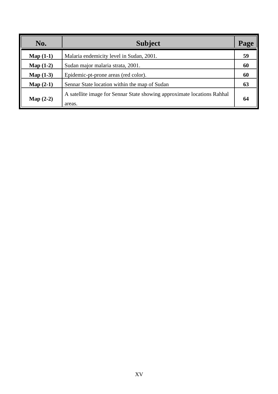| No.                | <b>Subject</b>                                                                    | Page |
|--------------------|-----------------------------------------------------------------------------------|------|
| Map $(1-1)$        | Malaria endemicity level in Sudan, 2001.                                          | 59   |
| Map $(1-2)$        | Sudan major malaria strata, 2001.                                                 | 60   |
| Map $(1-3)$        | Epidemic-pt-prone areas (red color).                                              | 60   |
| Map $(2-1)$        | Sennar State location within the map of Sudan                                     | 63   |
| <b>Map</b> $(2-2)$ | A satellite image for Sennar State showing approximate locations Rahhal<br>areas. | 64   |